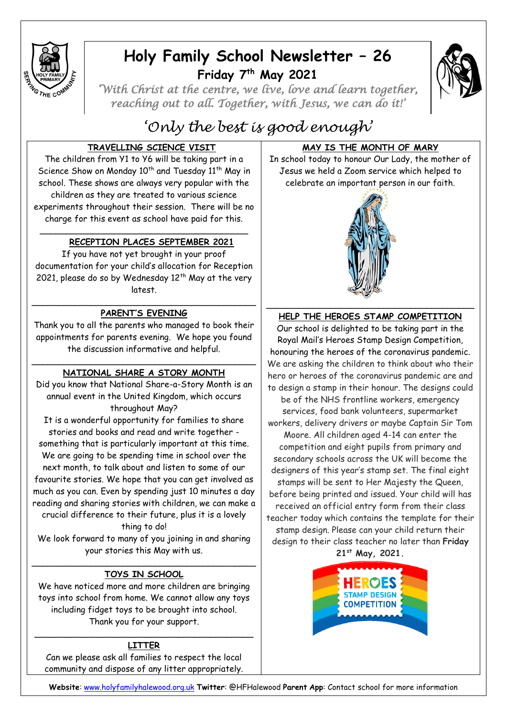

## **Holy Family School Newsletter – 26 Friday 7 th May 2021**



*'With Christ at the centre, we live, love and learn together, reaching out to all. Together, with Jesus, we can do it!'* 

# *'Only the best is good enough'*

## **TRAVELLING SCIENCE VISIT**

The children from Y1 to Y6 will be taking part in a Science Show on Monday 10<sup>th</sup> and Tuesday 11<sup>th</sup> May in school. These shows are always very popular with the children as they are treated to various science experiments throughout their session. There will be no charge for this event as school have paid for this.

## **RECEPTION PLACES SEPTEMBER 2021**

If you have not yet brought in your proof documentation for your child's allocation for Reception 2021, please do so by Wednesday  $12^{th}$  May at the very latest.

\_\_\_\_\_\_\_\_\_\_\_\_\_\_\_\_\_\_\_\_\_\_\_\_\_\_\_\_\_\_\_\_\_\_\_\_\_\_\_

### \_\_\_\_\_\_\_\_\_\_\_\_\_\_\_\_\_\_\_\_\_\_\_\_\_\_\_\_\_\_\_\_\_\_\_\_\_\_\_\_\_\_ **PARENT'S EVENING**

Thank you to all the parents who managed to book their appointments for parents evening. We hope you found the discussion informative and helpful.

### \_\_\_\_\_\_\_\_\_\_\_\_\_\_\_\_\_\_\_\_\_\_\_\_\_\_\_\_\_\_\_\_\_\_\_\_\_\_\_\_\_\_ **NATIONAL SHARE A STORY MONTH**

Did you know that National Share-a-Story Month is an annual event in the United Kingdom, which occurs throughout May?

It is a wonderful opportunity for families to share stories and books and read and write together something that is particularly important at this time. We are going to be spending time in school over the next month, to talk about and listen to some of our favourite stories. We hope that you can get involved as much as you can. Even by spending just 10 minutes a day reading and sharing stories with children, we can make a crucial difference to their future, plus it is a lovely

thing to do!

We look forward to many of you joining in and sharing your stories this May with us.

### \_\_\_\_\_\_\_\_\_\_\_\_\_\_\_\_\_\_\_\_\_\_\_\_\_\_\_\_\_\_\_\_\_\_\_\_\_\_\_\_\_\_ **TOYS IN SCHOOL**

We have noticed more and more children are bringing toys into school from home. We cannot allow any toys including fidget toys to be brought into school. Thank you for your support.

## $\overline{\phantom{a}}$  , and the contract of the contract of the contract of the contract of the contract of the contract of the contract of the contract of the contract of the contract of the contract of the contract of the contrac **LITTER**

Can we please ask all families to respect the local community and dispose of any litter appropriately.

## **MAY IS THE MONTH OF MARY**

In school today to honour Our Lady, the mother of Jesus we held a Zoom service which helped to celebrate an important person in our faith.



## **HELP THE HEROES STAMP COMPETITION**

Our school is delighted to be taking part in the Royal Mail's Heroes Stamp Design Competition, honouring the heroes of the coronavirus pandemic. We are asking the children to think about who their hero or heroes of the coronavirus pandemic are and to design a stamp in their honour. The designs could

be of the NHS frontline workers, emergency services, food bank volunteers, supermarket workers, delivery drivers or maybe Captain Sir Tom Moore. All children aged 4-14 can enter the competition and eight pupils from primary and secondary schools across the UK will become the designers of this year's stamp set. The final eight stamps will be sent to Her Majesty the Queen, before being printed and issued. Your child will has received an official entry form from their class teacher today which contains the template for their stamp design. Please can your child return their design to their class teacher no later than **Friday 21st May, 2021.**



**Website**: [www.holyfamilyhalewood.org.uk](http://www.holyfamilyhalewood.org.uk/) **Twitter**: @HFHalewood **Parent App**: Contact school for more information